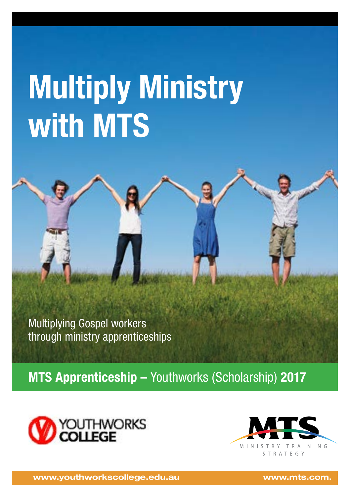# **Multiply Ministry with MTS**

Multiplying Gospel workers through ministry apprenticeships

**MTS Apprenticeship –** Youthworks (Scholarship) **2017**





**www.youthworkscollege.edu.au www.mts.com.**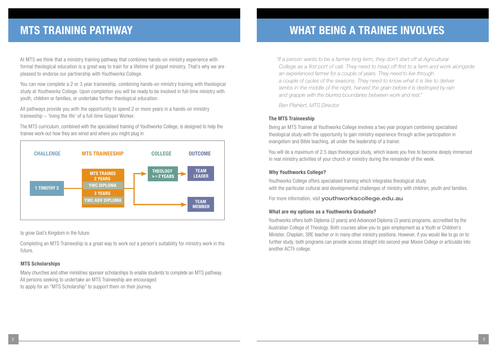At MTS we think that a ministry training pathway that combines hands-on ministry experience with formal theological education is a great way to train for a lifetime of gospel ministry. That's why we are pleased to endorse our partnership with Youthworks College.

You can now complete a 2 or 3 year traineeship, combining hands-on ministry training with theological study at Youthworks College. Upon completion you will be ready to be involved in full-time ministry with youth, children or families, or undertake further theological education.

All pathways provide you with the opportunity to spend 2 or more years in a hands-on ministry traineeship – 'living the life' of a full-time Gospel Worker.

The MTS curriculum, combined with the specialised training of Youthworks College, is designed to help the trainee work out how they are wired and where you might plug in



to grow God's Kingdom in the future.

Completing an MTS Traineeship is a great way to work out a person's suitability for ministry work in the future.

#### **MTS Scholarships**

Many churches and other ministries sponsor scholarships to enable students to complete an MTS pathway. All persons seeking to undertake an MTS Traineeship are encouraged to apply for an "MTS Scholarship" to support them on their journey.

## **MTS TRAINING PATHWAY WHAT BEING A TRAINEE INVOLVES**

*"If a person wants to be a farmer long term, they don't start off at Agricultural College as a first port of call. They need to head off first to a farm and work alongside an experienced farmer for a couple of years. They need to live through a couple of cycles of the seasons. They need to know what it is like to deliver*  lambs in the middle of the night, harvest the grain before it is destroyed by rain *and grapple with the blurred boundaries between work and rest."* 

*Ben Pfahlert, MTS Director*

### **The MTS Traineeship**

Being an MTS Trainee at Youthworks College involves a two year program combining specialised theological study with the opportunity to gain ministry experience through active participation in evangelism and Bible teaching, all under the leadership of a trainer.

You will do a maximum of 2.5 days theological study, which leaves you free to become deeply immersed in real ministry activities of your church or ministry during the remainder of the week.

### **Why Youthworks College?**

Youthworks College offers specialised training which integrates theological study with the particular cultural and developmental challenges of ministry with children, youth and families.

For more information, visit vouthworkscollege.edu.au

#### **What are my options as a Youthworks Graduate?**

Youthworks offers both Diploma (2 years) and Advanced Diploma (3 years) programs, accredited by the Australian College of Theology. Both courses allow you to gain employment as a Youth or Children's Minister, Chaplain, SRE teacher or in many other ministry positions. However, if you would like to go on to further study, both programs can provide access straight into second year Moore College or articulate into another ACTh college.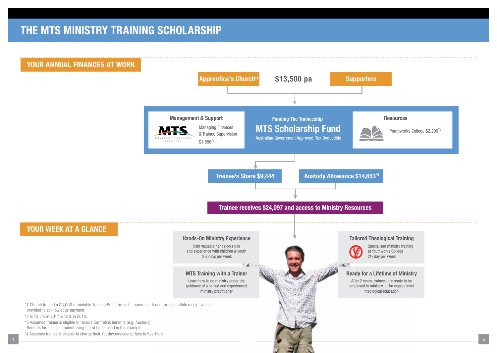## **THE MTS MINISTRY TRAINING SCHOLARSHIP**

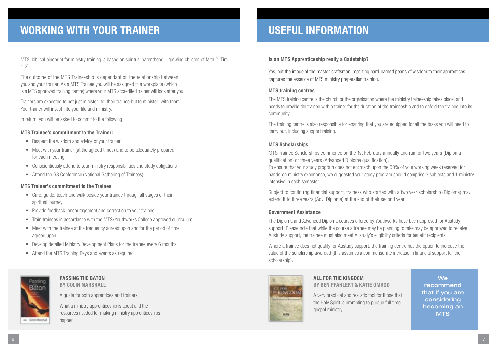## **WORKING WITH YOUR TRAINER**

MTS' biblical blueprint for ministry training is based on spiritual parenthood... growing children of faith (1 Tim 1:2).

The outcome of the MTS Traineeship is dependant on the relationship between you and your trainer. As a MTS Trainee you will be assigned to a workplace (which is a MTS approved training centre) where your MTS accredited trainer will look after you.

Trainers are expected to not just minister 'to' their trainee but to minister 'with them'. Your trainer will invest into your life and ministry.

In return, you will be asked to commit to the following:

#### **MTS Trainee's commitment to the Trainer:**

- Respect the wisdom and advice of your trainer
- Meet with your trainer (at the agreed times) and to be adequately prepared for each meeting
- Conscientiously attend to your ministry responsibilities and study obligations
- Attend the G8 Conference (National Gathering of Trainees)

#### **MTS Trainer's commitment to the Trainee**

- Care, quide, teach and walk beside your trainee through all stages of their spiritual journey
- Provide feedback, encouragement and correction to your trainee
- Train trainees in accordance with the MTS/Youthworks College approved curriculum
- Meet with the trainee at the frequency agreed upon and for the period of time agreed upon
- Develop detailed Ministry Development Plans for the trainee every 6 months
- Attend the MTS Training Days and events as required



#### **PASSING THE BATON BY COLIN MARSHALL**

A guide for both apprentices and trainers.

What a ministry apprenticeship is about and the resources needed for making ministry apprenticeships happen.

## **USEFUL INFORMATION**

#### **Is an MTS Apprenticeship really a Cadetship?**

Yes, but the image of the master-craftsman imparting hard-earned pearls of wisdom to their apprentices, captures the essence of MTS ministry preparation training.

#### **MTS training centres**

The MTS training centre is the church or the organisation where the ministry traineeship takes place, and needs to provide the trainee with a trainer for the duration of the traineeship and to enfold the trainee into its community.

The training centre is also responsible for ensuring that you are equipped for all the tasks you will need to carry out, including support raising.

#### **MTS Scholarships**

MTS Trainee Scholarships commence on the 1st February annually and run for two years (Diploma qualification) or three years (Advanced Diploma qualification).

To ensure that your study program does not encroach upon the 50% of your working week reserved for hands-on ministry experience, we suggested your study program should comprise 3 subjects and 1 ministry intensive in each semester.

Subject to continuing financial support, trainees who started with a two year scholarship (Diploma) may extend it to three years (Adv. Diploma) at the end of their second year.

#### **Government Assistance**

The Diploma and Advanced Diploma courses offered by Youthworks have been approved for Austudy support. Please note that while the course a trainee may be planning to take may be approved to receive Austudy support, the trainee must also meet Austudy's eligibility criteria for benefit recipients.

Where a trainee does not qualify for Austudy support, the training centre has the option to increase the value of the scholarship awarded (this assumes a commensurate increase in financial support for their scholarship).



#### **ALL FOR THE KINGDOM BY BEN PFAHLERT & KATIE OMROD**

A very practical and realistic tool for those that the Holy Spirit is prompting to pursue full time gospel ministry.

**We** recommend that if you are considering becoming an **MTS**